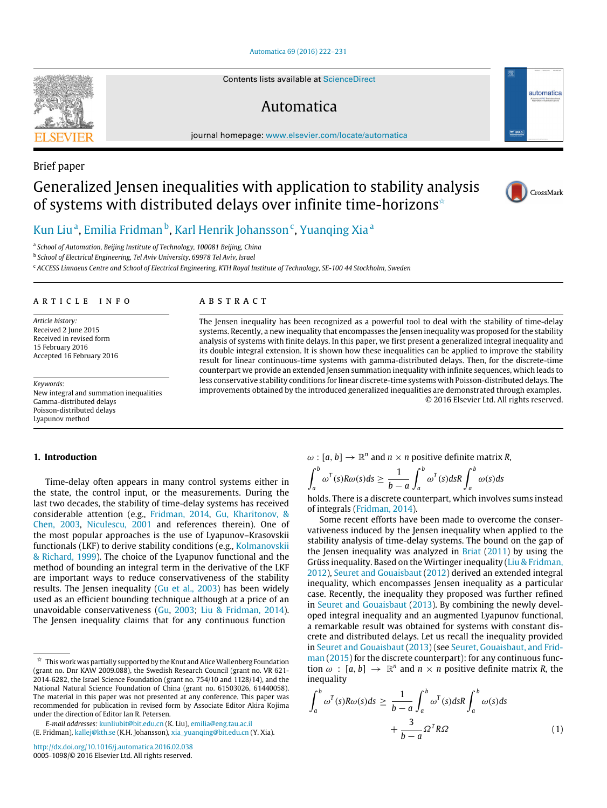#### [Automatica 69 \(2016\) 222–231](http://dx.doi.org/10.1016/j.automatica.2016.02.038)

Contents lists available at [ScienceDirect](http://www.elsevier.com/locate/automatica)

# Automatica

journal homepage: [www.elsevier.com/locate/automatica](http://www.elsevier.com/locate/automatica)





 $\boxed{\nabla}$  IFA

automatica

## [Kun Liu](#page-8-0)<sup>[a](#page-0-1)</sup>, [Emilia Fridman](#page-8-1)<sup>[b](#page-0-2)</sup>, [Karl Henrik Johansson](#page-9-0)<sup>[c](#page-0-3)</sup>, [Yuanqing Xia](#page-9-1)<sup>a</sup>

<span id="page-0-1"></span>a *School of Automation, Beijing Institute of Technology, 100081 Beijing, China*

<span id="page-0-2"></span>b *School of Electrical Engineering, Tel Aviv University, 69978 Tel Aviv, Israel*

<span id="page-0-3"></span><sup>c</sup> *ACCESS Linnaeus Centre and School of Electrical Engineering, KTH Royal Institute of Technology, SE-100 44 Stockholm, Sweden*

#### a r t i c l e i n f o

*Article history:* Received 2 June 2015 Received in revised form 15 February 2016 Accepted 16 February 2016

*Keywords:* New integral and summation inequalities Gamma-distributed delays Poisson-distributed delays Lyapunov method

#### **1. Introduction**

Time-delay often appears in many control systems either in the state, the control input, or the measurements. During the last two decades, the stability of time-delay systems has received considerable attention (e.g., [Fridman,](#page-8-2) [2014,](#page-8-2) [Gu,](#page-8-3) [Kharitonov,](#page-8-3) [&](#page-8-3) [Chen,](#page-8-3) [2003,](#page-8-3) [Niculescu,](#page-8-4) [2001](#page-8-4) and references therein). One of the most popular approaches is the use of Lyapunov–Krasovskii functionals (LKF) to derive stability conditions (e.g., [Kolmanovskii](#page-8-5) [&](#page-8-5) [Richard,](#page-8-5) [1999\)](#page-8-5). The choice of the Lyapunov functional and the method of bounding an integral term in the derivative of the LKF are important ways to reduce conservativeness of the stability results. The Jensen inequality [\(Gu](#page-8-3) [et al.,](#page-8-3) [2003\)](#page-8-3) has been widely used as an efficient bounding technique although at a price of an unavoidable conservativeness [\(Gu,](#page-8-6) [2003;](#page-8-6) [Liu](#page-8-7) [&](#page-8-7) [Fridman,](#page-8-7) [2014\)](#page-8-7). The Jensen inequality claims that for any continuous function

*E-mail addresses:* [kunliubit@bit.edu.cn](mailto:kunliubit@bit.edu.cn) (K. Liu), [emilia@eng.tau.ac.il](mailto:emilia@eng.tau.ac.il)

(E. Fridman), [kallej@kth.se](mailto:kallej@kth.se) (K.H. Johansson), [xia\\_yuanqing@bit.edu.cn](mailto:xia_yuanqing@bit.edu.cn) (Y. Xia).

## A B S T R A C T

The Jensen inequality has been recognized as a powerful tool to deal with the stability of time-delay systems. Recently, a new inequality that encompasses the Jensen inequality was proposed for the stability analysis of systems with finite delays. In this paper, we first present a generalized integral inequality and its double integral extension. It is shown how these inequalities can be applied to improve the stability result for linear continuous-time systems with gamma-distributed delays. Then, for the discrete-time counterpart we provide an extended Jensen summation inequality with infinite sequences, which leads to less conservative stability conditions for linear discrete-time systems with Poisson-distributed delays. The improvements obtained by the introduced generalized inequalities are demonstrated through examples. © 2016 Elsevier Ltd. All rights reserved.

## $\omega$ :  $[a, b] \rightarrow \mathbb{R}^n$  and  $n \times n$  positive definite matrix *R*,

$$
\int_a^b \omega^T(s) R \omega(s) ds \ge \frac{1}{b-a} \int_a^b \omega^T(s) ds R \int_a^b \omega(s) ds
$$

holds. There is a discrete counterpart, which involves sums instead of integrals [\(Fridman,](#page-8-2) [2014\)](#page-8-2).

Some recent efforts have been made to overcome the conservativeness induced by the Jensen inequality when applied to the stability analysis of time-delay systems. The bound on the gap of the Jensen inequality was analyzed in [Briat](#page-8-8)  $(2011)$  by using the Grüss inequality. Based on the Wirtinger inequality [\(Liu](#page-8-9) [&](#page-8-9) [Fridman,](#page-8-9) [2012\)](#page-8-9), [Seuret](#page-8-10) [and](#page-8-10) [Gouaisbaut](#page-8-10) [\(2012\)](#page-8-10) derived an extended integral inequality, which encompasses Jensen inequality as a particular case. Recently, the inequality they proposed was further refined in [Seuret](#page-8-11) [and](#page-8-11) [Gouaisbaut](#page-8-11) [\(2013\)](#page-8-11). By combining the newly developed integral inequality and an augmented Lyapunov functional, a remarkable result was obtained for systems with constant discrete and distributed delays. Let us recall the inequality provided [i](#page-8-12)n [Seuret](#page-8-11) [and](#page-8-11) [Gouaisbaut](#page-8-11) [\(2013\)](#page-8-11) (see [Seuret,](#page-8-12) [Gouaisbaut,](#page-8-12) [and](#page-8-12) [Frid](#page-8-12)[man](#page-8-12) [\(2015\)](#page-8-12) for the discrete counterpart): for any continuous function  $\omega$  :  $[a, b] \rightarrow \mathbb{R}^n$  and  $n \times n$  positive definite matrix *R*, the inequality

<span id="page-0-4"></span>
$$
\int_{a}^{b} \omega^{T}(s)R\omega(s)ds \ge \frac{1}{b-a} \int_{a}^{b} \omega^{T}(s)dsR \int_{a}^{b} \omega(s)ds
$$

$$
+ \frac{3}{b-a} \Omega^{T}R\Omega
$$
(1)



<span id="page-0-0"></span> $^\star\,$  This work was partially supported by the Knut and Alice Wallenberg Foundation (grant no. Dnr KAW 2009.088), the Swedish Research Council (grant no. VR 621- 2014-6282, the Israel Science Foundation (grant no. 754/10 and 1128/14), and the National Natural Science Foundation of China (grant no. 61503026, 61440058). The material in this paper was not presented at any conference. This paper was recommended for publication in revised form by Associate Editor Akira Kojima under the direction of Editor Ian R. Petersen.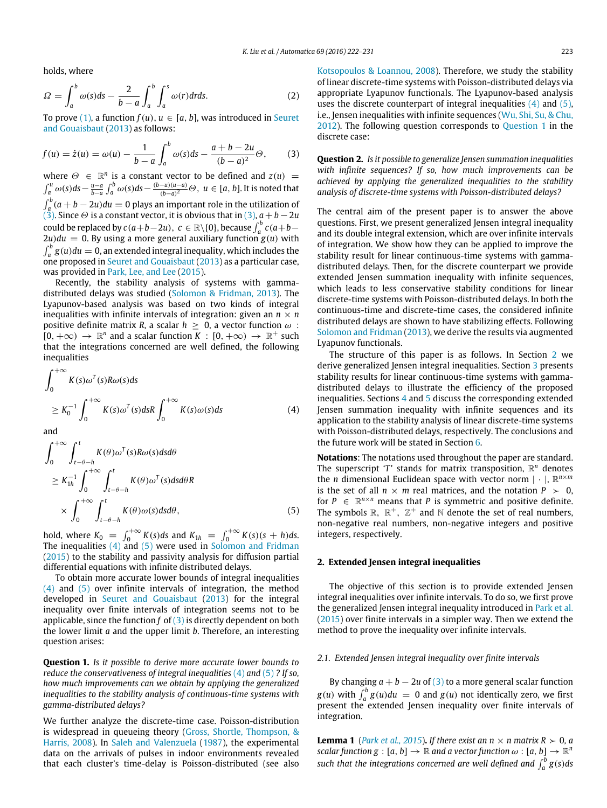holds, where

$$
\Omega = \int_{a}^{b} \omega(s)ds - \frac{2}{b-a} \int_{a}^{b} \int_{a}^{s} \omega(r) dr ds. \tag{2}
$$

To prove [\(1\),](#page-0-4) a function  $f(u)$ ,  $u \in [a, b]$ , was introduced in [Seuret](#page-8-11) [and](#page-8-11) [Gouaisbaut](#page-8-11) [\(2013\)](#page-8-11) as follows:

$$
f(u) = \dot{z}(u) = \omega(u) - \frac{1}{b-a} \int_a^b \omega(s) ds - \frac{a+b-2u}{(b-a)^2} \Theta,
$$
 (3)

where  $\Theta \in \mathbb{R}^n$  is a constant vector to be defined and  $z(u) =$  $\int_a^u \omega(s)ds - \frac{u-a}{b-a} \int_a^b \omega(s)ds - \frac{(b-u)(u-a)}{(b-a)^2}$ (*b*−*a*) <sup>2</sup> Θ, *u* ∈ [*a*, *b*]. It is noted that  $\int_a^b (a+b-2u)du = 0$  plays an important role in the utilization of  $(3)$ . Since  $\Theta$  is a constant vector, it is obvious that in [\(3\),](#page-1-0)  $a + b - 2u$ could be replaced by  $c(a+b-2u)$ ,  $c \in \mathbb{R} \setminus \{0\}$ , because  $\int_a^b c(a+b-1)$  $2u)du = 0$ . By using a more general auxiliary function  $g(u)$  with  $\int_a^b g(u)du = 0$ , an extended integral inequality, which includes the one proposed in [Seuret](#page-8-11) [and](#page-8-11) [Gouaisbaut](#page-8-11) [\(2013\)](#page-8-11) as a particular case, was provided in [Park,](#page-8-13) [Lee,](#page-8-13) [and](#page-8-13) [Lee](#page-8-13) [\(2015\)](#page-8-13).

Recently, the stability analysis of systems with gammadistributed delays was studied [\(Solomon](#page-8-14) [&](#page-8-14) [Fridman,](#page-8-14) [2013\)](#page-8-14). The Lyapunov-based analysis was based on two kinds of integral inequalities with infinite intervals of integration: given an  $n \times n$ positive definite matrix *R*, a scalar  $h > 0$ , a vector function  $\omega$ :  $[0, +\infty) \to \mathbb{R}^n$  and a scalar function  $\overline{K}$  :  $[0, +\infty) \to \mathbb{R}^+$  such that the integrations concerned are well defined, the following inequalities

$$
\int_0^{+\infty} K(s)\omega^T(s)R\omega(s)ds
$$
  
\n
$$
\geq K_0^{-1} \int_0^{+\infty} K(s)\omega^T(s)dsR \int_0^{+\infty} K(s)\omega(s)ds
$$
 (4)

and

$$
\int_{0}^{+\infty} \int_{t-\theta-h}^{t} K(\theta) \omega^{T}(s) R \omega(s) ds d\theta
$$
\n
$$
\geq K_{1h}^{-1} \int_{0}^{+\infty} \int_{t-\theta-h}^{t} K(\theta) \omega^{T}(s) ds d\theta R
$$
\n
$$
\times \int_{0}^{+\infty} \int_{t-\theta-h}^{t} K(\theta) \omega(s) ds d\theta, \qquad (5)
$$

hold, where  $K_0 = \int_0^{+\infty} K(s)ds$  and  $K_{1h} = \int_0^{+\infty} K(s)(s+h)ds$ . The inequalities [\(4\)](#page-1-1) and [\(5\)](#page-1-2) were used in [Solomon](#page-8-15) [and](#page-8-15) [Fridman](#page-8-15) [\(2015\)](#page-8-15) to the stability and passivity analysis for diffusion partial differential equations with infinite distributed delays.

To obtain more accurate lower bounds of integral inequalities [\(4\)](#page-1-1) and [\(5\)](#page-1-2) over infinite intervals of integration, the method developed in [Seuret](#page-8-11) [and](#page-8-11) [Gouaisbaut](#page-8-11) [\(2013\)](#page-8-11) for the integral inequality over finite intervals of integration seems not to be applicable, since the function *f* of [\(3\)](#page-1-0) is directly dependent on both the lower limit *a* and the upper limit *b*. Therefore, an interesting question arises:

<span id="page-1-3"></span>**Question 1.** *Is it possible to derive more accurate lower bounds to reduce the conservativeness of integral inequalities* [\(4\)](#page-1-1) and [\(5\)](#page-1-2) *? If so, how much improvements can we obtain by applying the generalized inequalities to the stability analysis of continuous-time systems with gamma-distributed delays?*

We further analyze the discrete-time case. Poisson-distribution is widespread in queueing theory [\(Gross,](#page-8-16) [Shortle,](#page-8-16) [Thompson,](#page-8-16) [&](#page-8-16) [Harris,](#page-8-16) [2008\)](#page-8-16). In [Saleh](#page-8-17) [and](#page-8-17) [Valenzuela](#page-8-17) [\(1987\)](#page-8-17), the experimental data on the arrivals of pulses in indoor environments revealed that each cluster's time-delay is Poisson-distributed (see also [Kotsopoulos](#page-8-18) [&](#page-8-18) [Loannou,](#page-8-18) [2008\)](#page-8-18). Therefore, we study the stability of linear discrete-time systems with Poisson-distributed delays via appropriate Lyapunov functionals. The Lyapunov-based analysis uses the discrete counterpart of integral inequalities  $(4)$  and  $(5)$ , i.e., Jensen inequalities with infinite sequences [\(Wu,](#page-8-19) [Shi,](#page-8-19) [Su,](#page-8-19) [&](#page-8-19) [Chu,](#page-8-19) [2012\)](#page-8-19). The following question corresponds to [Question 1](#page-1-3) in the discrete case:

<span id="page-1-0"></span>**Question 2.** *Is it possible to generalize Jensen summation inequalities with infinite sequences? If so, how much improvements can be achieved by applying the generalized inequalities to the stability analysis of discrete-time systems with Poisson-distributed delays?*

The central aim of the present paper is to answer the above questions. First, we present generalized Jensen integral inequality and its double integral extension, which are over infinite intervals of integration. We show how they can be applied to improve the stability result for linear continuous-time systems with gammadistributed delays. Then, for the discrete counterpart we provide extended Jensen summation inequality with infinite sequences, which leads to less conservative stability conditions for linear discrete-time systems with Poisson-distributed delays. In both the continuous-time and discrete-time cases, the considered infinite distributed delays are shown to have stabilizing effects. Following [Solomon](#page-8-14) [and](#page-8-14) [Fridman](#page-8-14) [\(2013\)](#page-8-14), we derive the results via augmented Lyapunov functionals.

<span id="page-1-1"></span>The structure of this paper is as follows. In Section [2](#page-1-4) we derive generalized Jensen integral inequalities. Section [3](#page-4-0) presents stability results for linear continuous-time systems with gammadistributed delays to illustrate the efficiency of the proposed inequalities. Sections [4](#page-6-0) and [5](#page-7-0) discuss the corresponding extended Jensen summation inequality with infinite sequences and its application to the stability analysis of linear discrete-time systems with Poisson-distributed delays, respectively. The conclusions and the future work will be stated in Section [6.](#page-8-20)

<span id="page-1-2"></span>**Notations**: The notations used throughout the paper are standard. The superscript ' $T$ ' stands for matrix transposition,  $\mathbb{R}^n$  denotes the *n* dimensional Euclidean space with vector norm  $|\cdot|$ ,  $\mathbb{R}^{n \times m}$ is the set of all  $n \times m$  real matrices, and the notation  $P > 0$ , for  $P \in \mathbb{R}^{n \times n}$  means that *P* is symmetric and positive definite. The symbols  $\mathbb{R}$ ,  $\mathbb{R}^+$ ,  $\mathbb{Z}^+$  and  $\mathbb{N}$  denote the set of real numbers, non-negative real numbers, non-negative integers and positive integers, respectively.

#### <span id="page-1-4"></span>**2. Extended Jensen integral inequalities**

The objective of this section is to provide extended Jensen integral inequalities over infinite intervals. To do so, we first prove the generalized Jensen integral inequality introduced in [Park](#page-8-13) [et al.](#page-8-13) [\(2015\)](#page-8-13) over finite intervals in a simpler way. Then we extend the method to prove the inequality over infinite intervals.

### *2.1. Extended Jensen integral inequality over finite intervals*

By changing  $a + b - 2u$  of [\(3\)](#page-1-0) to a more general scalar function  $g(u)$  with  $\int_a^b g(u)du = 0$  and  $g(u)$  not identically zero, we first present the extended Jensen inequality over finite intervals of integration.

<span id="page-1-5"></span>**Lemma 1** (*[Park](#page-8-13) [et al.,](#page-8-13) [2015](#page-8-13)*). *If there exist an n*  $\times$  *n matrix R*  $> 0$ , *a scalar function g* : [a, b]  $\rightarrow \mathbb{R}$  and a vector function  $\omega$  : [a, b]  $\rightarrow \mathbb{R}^n$ *such that the integrations concerned are well defined and*  $\int_a^b g(s) ds$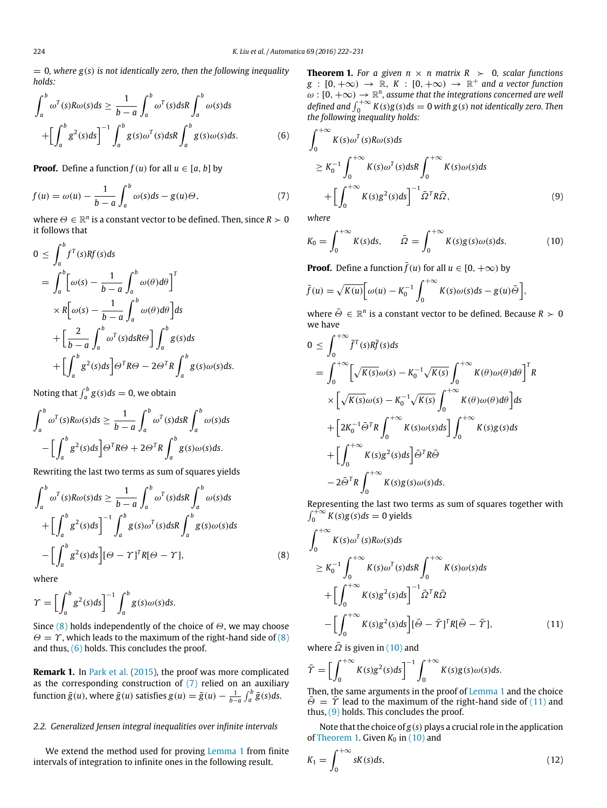$= 0$ , where  $g(s)$  is not identically zero, then the following inequality *holds:*

$$
\int_{a}^{b} \omega^{T}(s)R\omega(s)ds \ge \frac{1}{b-a} \int_{a}^{b} \omega^{T}(s)dsR \int_{a}^{b} \omega(s)ds
$$

$$
+ \left[ \int_{a}^{b} g^{2}(s)ds \right]^{-1} \int_{a}^{b} g(s) \omega^{T}(s)dsR \int_{a}^{b} g(s) \omega(s)ds.
$$
(6)

**Proof.** Define a function  $f(u)$  for all  $u \in [a, b]$  by

$$
f(u) = \omega(u) - \frac{1}{b-a} \int_a^b \omega(s)ds - g(u)\Theta,
$$
\n(7)

where  $\Theta \in \mathbb{R}^n$  is a constant vector to be defined. Then, since  $R \succ 0$ it follows that

$$
0 \leq \int_{a}^{b} f^{T}(s)Rf(s)ds
$$
  
=  $\int_{a}^{b} \left[\omega(s) - \frac{1}{b-a} \int_{a}^{b} \omega(\theta)d\theta\right]^{T}$   
 $\times R\left[\omega(s) - \frac{1}{b-a} \int_{a}^{b} \omega(\theta)d\theta\right]ds$   
+  $\left[\frac{2}{b-a} \int_{a}^{b} \omega^{T}(s)dsR\Theta\right] \int_{a}^{b} g(s)ds$   
+  $\left[\int_{a}^{b} g^{2}(s)ds\right] \Theta^{T}R\Theta - 2\Theta^{T}R \int_{a}^{b} g(s)\omega(s)ds.$ 

Noting that  $\int_a^b g(s)ds = 0$ , we obtain

$$
\int_a^b \omega^T(s) R\omega(s) ds \ge \frac{1}{b-a} \int_a^b \omega^T(s) ds R \int_a^b \omega(s) ds
$$

$$
- \left[ \int_a^b g^2(s) ds \right] \Theta^T R \Theta + 2\Theta^T R \int_a^b g(s) \omega(s) ds.
$$

Rewriting the last two terms as sum of squares yields

$$
\int_{a}^{b} \omega^{T}(s)R\omega(s)ds \geq \frac{1}{b-a} \int_{a}^{b} \omega^{T}(s)dsR \int_{a}^{b} \omega(s)ds
$$

$$
+ \left[ \int_{a}^{b} g^{2}(s)ds \right]^{-1} \int_{a}^{b} g(s) \omega^{T}(s)dsR \int_{a}^{b} g(s) \omega(s)ds
$$

$$
- \left[ \int_{a}^{b} g^{2}(s)ds \right] [\Theta - \Upsilon]^{T} R[\Theta - \Upsilon], \tag{8}
$$

where

$$
\varUpsilon = \bigg[ \int_a^b g^2(s) ds \bigg]^{-1} \int_a^b g(s) \omega(s) ds.
$$

Since [\(8\)](#page-2-0) holds independently of the choice of  $\Theta$ , we may choose  $\Theta = \Upsilon$ , which leads to the maximum of the right-hand side of [\(8\)](#page-2-0) and thus,  $(6)$  holds. This concludes the proof.

**Remark 1.** In [Park](#page-8-13) [et al.](#page-8-13) [\(2015\)](#page-8-13), the proof was more complicated as the corresponding construction of [\(7\)](#page-2-2) relied on an auxiliary function  $\bar{g}(u)$ , where  $\bar{g}(u)$  satisfies  $g(u) = \bar{g}(u) - \frac{1}{b-a}\int_a^b \bar{g}(s)ds$ .

### *2.2. Generalized Jensen integral inequalities over infinite intervals*

We extend the method used for proving [Lemma 1](#page-1-5) from finite intervals of integration to infinite ones in the following result.

<span id="page-2-6"></span>**Theorem 1.** For a given  $n \times n$  matrix  $R \succ 0$ , scalar functions  $g\,:\,[0,+\infty)\,\rightarrow\,\mathbb{R},\,\,K\,:\,[0,+\infty)\,\rightarrow\,\mathbb{R}^+$  and a vector function  $\omega : [0, +\infty) \to \mathbb{R}^n$ , assume that the integrations concerned are well *defined and*  $\int_0^{+\infty} K(s)g(s)ds = 0$  *with*  $g(s)$  *not identically zero. Then the following inequality holds:*

<span id="page-2-1"></span>
$$
\int_0^{+\infty} K(s)\omega^T(s)R\omega(s)ds
$$
  
\n
$$
\geq K_0^{-1} \int_0^{+\infty} K(s)\omega^T(s)dsR \int_0^{+\infty} K(s)\omega(s)ds
$$
  
\n
$$
+ \left[ \int_0^{+\infty} K(s)g^2(s)ds \right]^{-1} \bar{\Omega}^T R\bar{\Omega},
$$
\n(9)

<span id="page-2-2"></span>*where*

<span id="page-2-5"></span><span id="page-2-3"></span>
$$
K_0 = \int_0^{+\infty} K(s)ds, \qquad \bar{\Omega} = \int_0^{+\infty} K(s)g(s)\omega(s)ds.
$$
 (10)

**Proof.** Define a function  $\bar{f}(u)$  for all  $u \in [0, +\infty)$  by

$$
\bar{f}(u) = \sqrt{K(u)} \bigg[ \omega(u) - K_0^{-1} \int_0^{+\infty} K(s) \omega(s) ds - g(u) \bar{\Theta} \bigg],
$$

where  $\bar{\Theta} \in \mathbb{R}^n$  is a constant vector to be defined. Because  $R \succ 0$ we have

$$
0 \leq \int_0^{+\infty} \bar{f}^T(s)R\bar{f}(s)ds
$$
  
\n
$$
= \int_0^{+\infty} \left[\sqrt{K(s)}\omega(s) - K_0^{-1}\sqrt{K(s)} \int_0^{+\infty} K(\theta)\omega(\theta)d\theta\right]^T R
$$
  
\n
$$
\times \left[\sqrt{K(s)}\omega(s) - K_0^{-1}\sqrt{K(s)} \int_0^{+\infty} K(\theta)\omega(\theta)d\theta\right]ds
$$
  
\n
$$
+ \left[2K_0^{-1}\bar{\Theta}^T R \int_0^{+\infty} K(s)\omega(s)ds\right] \int_0^{+\infty} K(s)g(s)ds
$$
  
\n
$$
+ \left[\int_0^{+\infty} K(s)g^2(s)ds\right] \bar{\Theta}^T R \bar{\Theta}
$$
  
\n
$$
-2\bar{\Theta}^T R \int_0^{+\infty} K(s)g(s)\omega(s)ds.
$$

Representing the last two terms as sum of squares together with  $\int_0^{\infty} K(s)g(s)ds = 0$  yields

<span id="page-2-0"></span>
$$
\int_0^{+\infty} K(s)\omega^T(s)R\omega(s)ds
$$
  
\n
$$
\geq K_0^{-1} \int_0^{+\infty} K(s)\omega^T(s)dsR \int_0^{+\infty} K(s)\omega(s)ds
$$
  
\n
$$
+ \left[ \int_0^{+\infty} K(s)g^2(s)ds \right]^{-1} \bar{\Omega}^T R \bar{\Omega}
$$
  
\n
$$
- \left[ \int_0^{+\infty} K(s)g^2(s)ds \right] [\bar{\Theta} - \bar{\Upsilon}]^T R [\bar{\Theta} - \bar{\Upsilon}], \qquad (11)
$$

<span id="page-2-4"></span>where  $\overline{\Omega}$  is given in [\(10\)](#page-2-3) and

<span id="page-2-7"></span>→  $\frac{1}{2}$ 

$$
\bar{\Upsilon} = \left[ \int_0^{+\infty} K(s) g^2(s) ds \right]^{-1} \int_0^{+\infty} K(s) g(s) \omega(s) ds.
$$

Then, the same arguments in the proof of [Lemma 1](#page-1-5) and the choice  $\overline{\Theta} = \overline{\Upsilon}$  lead to the maximum of the right-hand side of [\(11\)](#page-2-4) and thus, [\(9\)](#page-2-5) holds. This concludes the proof.

Note that the choice of *g*(*s*) plays a crucial role in the application of [Theorem 1.](#page-2-6) Given  $K_0$  in  $(10)$  and

$$
K_1 = \int_0^{+\infty} sK(s)ds,\tag{12}
$$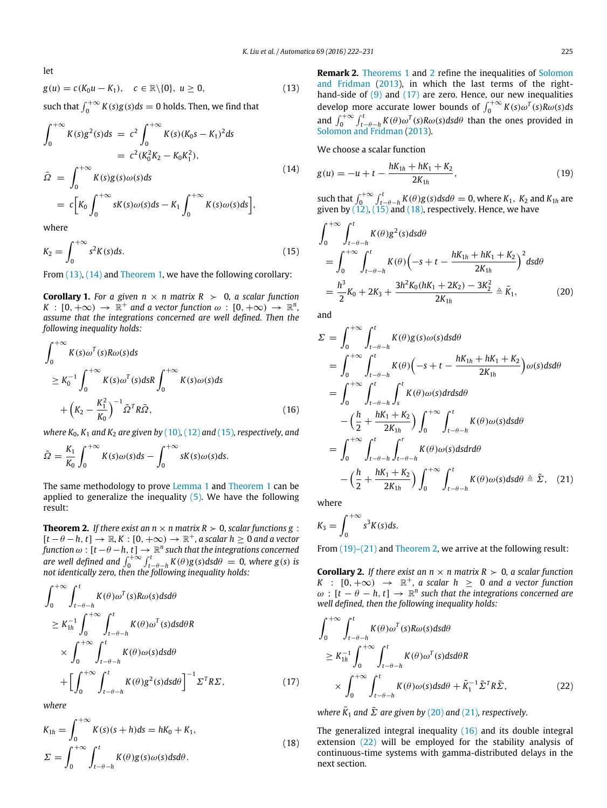let

$$
g(u) = c(K_0u - K_1), \quad c \in \mathbb{R} \setminus \{0\}, \ u \ge 0,
$$
\n
$$
(13)
$$

such that  $\int_0^{+\infty} K(s)g(s)ds = 0$  holds. Then, we find that

$$
\int_0^{+\infty} K(s)g^2(s)ds = c^2 \int_0^{+\infty} K(s)(K_0s - K_1)^2 ds
$$
  
\n
$$
= c^2 (K_0^2 K_2 - K_0 K_1^2),
$$
  
\n
$$
\bar{\Omega} = \int_0^{+\infty} K(s)g(s)\omega(s)ds
$$
  
\n
$$
= c[K_0 \int_0^{+\infty} sK(s)\omega(s)ds - K_1 \int_0^{+\infty} K(s)\omega(s)ds],
$$
\n(14)

where

$$
K_2 = \int_0^{+\infty} s^2 K(s) ds.
$$
\n(15)

From  $(13)$ ,  $(14)$  and [Theorem 1,](#page-2-6) we have the following corollary:

<span id="page-3-11"></span>**Corollary 1.** For a given  $n \times n$  matrix  $R \succ 0$ , a scalar function  $K\,:\,[0,+\infty)\,\to\,\mathbb{R}^+$  and a vector function  $\omega\,:\,[0,+\infty)\,\to\,\mathbb{R}^n,$ *assume that the integrations concerned are well defined. Then the following inequality holds:*

$$
\int_0^{+\infty} K(s)\omega^T(s)R\omega(s)ds
$$
  
\n
$$
\geq K_0^{-1} \int_0^{+\infty} K(s)\omega^T(s)dsR \int_0^{+\infty} K(s)\omega(s)ds
$$
  
\n
$$
+ (K_2 - \frac{K_1^2}{K_0})^{-1} \tilde{\Omega}^T R \tilde{\Omega},
$$
\n(16)

*where K*0*, K*<sup>1</sup> *and K*<sup>2</sup> *are given by* [\(10\)](#page-2-3), [\(12\)](#page-2-7) and [\(15\)](#page-3-2)*, respectively, and*

$$
\tilde{\Omega} = \frac{K_1}{K_0} \int_0^{+\infty} K(s) \omega(s) ds - \int_0^{+\infty} sK(s) \omega(s) ds.
$$

The same methodology to prove [Lemma 1](#page-1-5) and [Theorem 1](#page-2-6) can be applied to generalize the inequality [\(5\).](#page-1-2) We have the following result:

<span id="page-3-3"></span>**Theorem 2.** *If there exist an n*  $\times$  *n matrix R*  $>$  0*, scalar functions g* :  $[t - \theta - h, t] \rightarrow \mathbb{R}, K : [0, +\infty) \rightarrow \mathbb{R}^+,$  a scalar  $h \geq 0$  and a vector function  $\omega$  :  $[t - \theta - h, t] \to \mathbb{R}^n$  such that the integrations concerned<br>are well defined and  $\int_0^{+\infty} \int_{t-\theta-h}^t K(\theta)g(s)dsd\theta = 0$ , where  $g(s)$  is *not identically zero, then the following inequality holds:*

$$
\int_{0}^{+\infty} \int_{t-\theta-h}^{t} K(\theta) \omega^{T}(s) R \omega(s) ds d\theta
$$
\n
$$
\geq K_{1h}^{-1} \int_{0}^{+\infty} \int_{t-\theta-h}^{t} K(\theta) \omega^{T}(s) ds d\theta R
$$
\n
$$
\times \int_{0}^{+\infty} \int_{t-\theta-h}^{t} K(\theta) \omega(s) ds d\theta
$$
\n
$$
+ \left[ \int_{0}^{+\infty} \int_{t-\theta-h}^{t} K(\theta) g^{2}(s) ds d\theta \right]^{-1} \Sigma^{T} R \Sigma, \qquad (17)
$$

*where*

$$
K_{1h} = \int_0^{+\infty} K(s)(s+h)ds = hK_0 + K_1,
$$
  
\n
$$
\Sigma = \int_0^{+\infty} \int_{t-\theta-h}^t K(\theta)g(s)\omega(s)dsd\theta.
$$
\n(18)

<span id="page-3-0"></span>**Remark 2.** [Theorems 1](#page-2-6) and [2](#page-3-3) refine the inequalities of [Solomon](#page-8-14) [and](#page-8-14) [Fridman](#page-8-14) [\(2013\)](#page-8-14), in which the last terms of the righthand-side of  $(9)$  and  $(17)$  are zero. Hence, our new inequalities develop more accurate lower bounds of  $\int_0^{+\infty} K(s) \omega^T(s) R\omega(s) ds$ and  $\int_0^{+\infty} \int_{t-\theta-h}^t K(\theta) \omega^T(s) R\omega(s) ds d\theta$  than the ones provided in [Solomon](#page-8-14) [and](#page-8-14) [Fridman](#page-8-14) [\(2013\)](#page-8-14).

<span id="page-3-6"></span><span id="page-3-1"></span>We choose a scalar function

$$
g(u) = -u + t - \frac{hK_{1h} + hK_1 + K_2}{2K_{1h}},
$$
\n(19)

such that  $\int_0^{+\infty} \int_{t-\theta-h}^t K(\theta)g(s)dsd\theta = 0$ , where  $K_1$ ,  $K_2$  and  $K_{1h}$  are given by  $(12)$ ,  $(15)$  and  $(18)$ , respectively. Hence, we have

<span id="page-3-2"></span>
$$
\int_{0}^{+\infty} \int_{t-\theta-h}^{t} K(\theta)g^{2}(s)dsd\theta
$$
\n
$$
= \int_{0}^{+\infty} \int_{t-\theta-h}^{t} K(\theta) \left( -s+t - \frac{hK_{1h} + hK_{1} + K_{2}}{2K_{1h}} \right)^{2} dsd\theta
$$
\n
$$
= \frac{h^{3}}{2}K_{0} + 2K_{3} + \frac{3h^{2}K_{0}(hK_{1} + 2K_{2}) - 3K_{2}^{2}}{2K_{1h}} \triangleq \tilde{K}_{1}, \qquad (20)
$$

<span id="page-3-7"></span>and

<span id="page-3-9"></span>
$$
\Sigma = \int_0^{+\infty} \int_{t-\theta-h}^t K(\theta)g(s)\omega(s)dsd\theta
$$
  
\n
$$
= \int_0^{+\infty} \int_{t-\theta-h}^t K(\theta) \Big(-s+t-\frac{hK_{1h}+hK_1+K_2}{2K_{1h}}\Big) \omega(s)dsd\theta
$$
  
\n
$$
= \int_0^{+\infty} \int_{t-\theta-h}^t \int_s^t K(\theta) \omega(s)drdsd\theta
$$
  
\n
$$
- \Big(\frac{h}{2} + \frac{hK_1+K_2}{2K_{1h}}\Big) \int_0^{+\infty} \int_{t-\theta-h}^t K(\theta) \omega(s)dsd\theta
$$
  
\n
$$
= \int_0^{+\infty} \int_{t-\theta-h}^t \int_{t-\theta-h}^t K(\theta) \omega(s)dsdrd\theta
$$
  
\n
$$
- \Big(\frac{h}{2} + \frac{hK_1+K_2}{2K_{1h}}\Big) \int_0^{+\infty} \int_{t-\theta-h}^t K(\theta) \omega(s)dsd\theta \triangleq \tilde{\Sigma}, \quad (21)
$$

<span id="page-3-8"></span>where

$$
K_3=\int_0^{+\infty} s^3 K(s) ds.
$$

From  $(19)-(21)$  and [Theorem 2,](#page-3-3) we arrive at the following result:

**Corollary 2.** *If there exist an n*  $\times$  *n matrix R*  $>$  0*, a scalar function*  $K$  :  $[0, +\infty)$   $\rightarrow \mathbb{R}^+$ , a scalar  $h$   $\geq$  0 and a vector function  $\omega$ :  $[t - \theta - h, t] \rightarrow \mathbb{R}^n$  such that the integrations concerned are *well defined, then the following inequality holds:*

$$
\int_{0}^{+\infty} \int_{t-\theta-h}^{t} K(\theta) \omega^{T}(s) R \omega(s) ds d\theta
$$
\n
$$
\geq K_{1h}^{-1} \int_{0}^{+\infty} \int_{t-\theta-h}^{t} K(\theta) \omega^{T}(s) ds d\theta R
$$
\n
$$
\times \int_{0}^{+\infty} \int_{t-\theta-h}^{t} K(\theta) \omega(s) ds d\theta + \tilde{K}_{1}^{-1} \tilde{\Sigma}^{T} R \tilde{\Sigma}, \qquad (22)
$$

<span id="page-3-10"></span><span id="page-3-4"></span>*where*  $\tilde{K}_1$  *and*  $\tilde{\Sigma}$  *are given by* [\(20\)](#page-3-7) *and* [\(21\)](#page-3-8)*, respectively.* 

<span id="page-3-5"></span>The generalized integral inequality [\(16\)](#page-3-9) and its double integral extension [\(22\)](#page-3-10) will be employed for the stability analysis of continuous-time systems with gamma-distributed delays in the next section.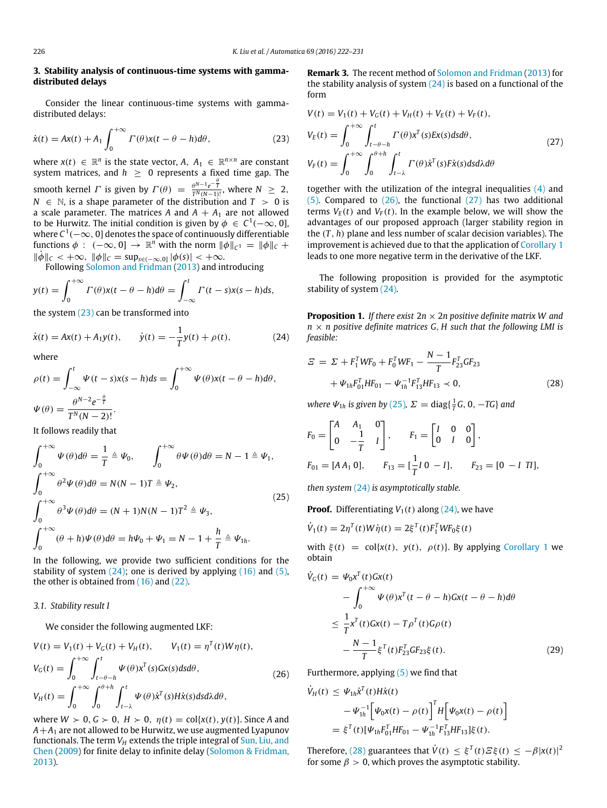## <span id="page-4-0"></span>**3. Stability analysis of continuous-time systems with gammadistributed delays**

Consider the linear continuous-time systems with gammadistributed delays:

$$
\dot{x}(t) = Ax(t) + A_1 \int_0^{+\infty} \Gamma(\theta) x(t - \theta - h) d\theta,
$$
\n(23)

where  $x(t) \in \mathbb{R}^n$  is the state vector,  $A, A_1 \in \mathbb{R}^{n \times n}$  are constant system matrices, and  $h \geq 0$  represents a fixed time gap. The smooth kernel *Γ* is given by  $\Gamma(\theta) = \frac{\theta^{N-1}e^{-\frac{\theta}{\theta}}}{\pi N(\theta-1)}$  $\frac{\theta^{N-1}e^{-T}}{T^N(N-1)!}$ , where  $N \geq 2$ ,  $N \in \mathbb{N}$ , is a shape parameter of the distribution and  $T > 0$  is a scale parameter. The matrices  $A$  and  $A + A_1$  are not allowed to be Hurwitz. The initial condition is given by  $\phi\ \in\ \mathrm{C}^1(-\infty,0],$ where  $C^1(-\infty,0]$  denotes the space of continuously differentiable functions  $\phi$  :  $(-\infty, 0] \to \mathbb{R}^n$  with the norm  $\|\phi\|_{C^1} = \|\phi\|_{C} +$  $\|\dot{\phi}\|_{\mathcal{C}} < +\infty$ ,  $\|\phi\|_{\mathcal{C}} = \sup_{s \in (-\infty,0]} |\phi(s)| < +\infty$ .

Following [Solomon](#page-8-14) [and](#page-8-14) [Fridman](#page-8-14) [\(2013\)](#page-8-14) and introducing

$$
y(t) = \int_0^{+\infty} \Gamma(\theta) x(t - \theta - h) d\theta = \int_{-\infty}^t \Gamma(t - s) x(s - h) ds,
$$

the system [\(23\)](#page-4-1) can be transformed into

$$
\dot{x}(t) = Ax(t) + A_1 y(t), \qquad \dot{y}(t) = -\frac{1}{T} y(t) + \rho(t), \tag{24}
$$

where

$$
\rho(t) = \int_{-\infty}^{t} \Psi(t - s)x(s - h)ds = \int_{0}^{+\infty} \Psi(\theta)x(t - \theta - h)d\theta,
$$
  

$$
\Psi(\theta) = \frac{\theta^{N-2}e^{-\frac{\theta}{T}}}{T^{N}(N-2)!}.
$$

It follows readily that

$$
\int_0^{+\infty} \Psi(\theta) d\theta = \frac{1}{T} \triangleq \Psi_0, \qquad \int_0^{+\infty} \theta \Psi(\theta) d\theta = N - 1 \triangleq \Psi_1,
$$
  

$$
\int_0^{+\infty} \theta^2 \Psi(\theta) d\theta = N(N - 1)T \triangleq \Psi_2,
$$
  

$$
\int_0^{+\infty} \theta^3 \Psi(\theta) d\theta = (N + 1)N(N - 1)T^2 \triangleq \Psi_3,
$$
  

$$
\int_0^{+\infty} (\theta + h) \Psi(\theta) d\theta = h\Psi_0 + \Psi_1 = N - 1 + \frac{h}{T} \triangleq \Psi_{1h}.
$$

In the following, we provide two sufficient conditions for the stability of system  $(24)$ ; one is derived by applying  $(16)$  and  $(5)$ , the other is obtained from [\(16\)](#page-3-9) and [\(22\).](#page-3-10)

## *3.1. Stability result I*

We consider the following augmented LKF:

$$
V(t) = V_1(t) + V_G(t) + V_H(t), \qquad V_1(t) = \eta^T(t)W\eta(t),
$$
  
\n
$$
V_G(t) = \int_0^{+\infty} \int_{t-\theta-h}^t \Psi(\theta) x^T(s)Gx(s)dsd\theta,
$$
  
\n
$$
V_H(t) = \int_0^{+\infty} \int_0^{\theta+h} \int_{t-\lambda}^t \Psi(\theta) \dot{x}^T(s)H\dot{x}(s)dsd\lambda d\theta,
$$
\n(26)

where  $W > 0$ ,  $G > 0$ ,  $H > 0$ ,  $\eta(t) = \text{col}\{x(t), y(t)\}$ . Since *A* and  $A+A_1$  are not allowed to be Hurwitz, we use augmented Lyapunov functionals. The term *V<sup>H</sup>* extends the triple integral of [Sun,](#page-8-21) [Liu,](#page-8-21) [and](#page-8-21) [Chen](#page-8-21) [\(2009\)](#page-8-21) for finite delay to infinite delay [\(Solomon](#page-8-14) [&](#page-8-14) [Fridman,](#page-8-14) [2013\)](#page-8-14).

**Remark 3.** The recent method of [Solomon](#page-8-14) [and](#page-8-14) [Fridman](#page-8-14) [\(2013\)](#page-8-14) for the stability analysis of system  $(24)$  is based on a functional of the form

<span id="page-4-4"></span><span id="page-4-1"></span>
$$
V(t) = V_1(t) + V_G(t) + V_H(t) + V_E(t) + V_F(t),
$$
  
\n
$$
V_E(t) = \int_0^{+\infty} \int_{t-\theta-h}^t \Gamma(\theta) x^T(s) E x(s) ds d\theta,
$$
  
\n
$$
V_F(t) = \int_0^{+\infty} \int_0^{\theta+h} \int_{t-\lambda}^t \Gamma(\theta) \dot{x}^T(s) F \dot{x}(s) ds d\lambda d\theta
$$
\n(27)

together with the utilization of the integral inequalities [\(4\)](#page-1-1) and [\(5\).](#page-1-2) Compared to [\(26\),](#page-4-3) the functional [\(27\)](#page-4-4) has two additional terms  $V_E(t)$  and  $V_F(t)$ . In the example below, we will show the advantages of our proposed approach (larger stability region in the (*T* , *h*) plane and less number of scalar decision variables). The improvement is achieved due to that the application of [Corollary 1](#page-3-11) leads to one more negative term in the derivative of the LKF.

The following proposition is provided for the asymptotic stability of system [\(24\).](#page-4-2)

<span id="page-4-8"></span><span id="page-4-2"></span>**Proposition 1.** *If there exist*  $2n \times 2n$  positive definite matrix W and  $n \times n$  positive definite matrices G, H such that the following LMI is *feasible:*

$$
E = \Sigma + F_1^T W F_0 + F_0^T W F_1 - \frac{N-1}{T} F_{23}^T G F_{23} + \Psi_{1h} F_{01}^T H F_{01} - \Psi_{1h}^{-1} F_{13}^T H F_{13} < 0,
$$
 (28)

<span id="page-4-6"></span>*where*  $\Psi_{1h}$  *is given by* [\(25\)](#page-4-5),  $\Sigma = \text{diag}\left(\frac{1}{T}G, 0, -TG\right)$  *and* 

<span id="page-4-5"></span>
$$
F_0 = \begin{bmatrix} A & A_1 & 0 \\ 0 & -\frac{1}{T} & I \end{bmatrix}, \qquad F_1 = \begin{bmatrix} I & 0 & 0 \\ 0 & I & 0 \end{bmatrix},
$$
  
\n
$$
F_{01} = [AA_1 \ 0], \qquad F_{13} = [\frac{1}{T}I \ 0 \ -I], \qquad F_{23} = [0 \ -I \ TI],
$$

*then system* [\(24\)](#page-4-2) *is asymptotically stable.*

**Proof.** Differentiating  $V_1(t)$  along [\(24\),](#page-4-2) we have

$$
\dot{V}_1(t) = 2\eta^T(t)W\dot{\eta}(t) = 2\xi^T(t)F_1^TWF_0\xi(t)
$$

with  $\xi(t) = \text{col}\{x(t), y(t), \rho(t)\}\$ . By applying [Corollary 1](#page-3-11) we obtain

$$
\dot{V}_G(t) = \Psi_0 x^T(t) Gx(t)
$$
\n
$$
- \int_0^{+\infty} \Psi(\theta) x^T(t - \theta - h) Gx(t - \theta - h) d\theta
$$
\n
$$
\leq \frac{1}{T} x^T(t) Gx(t) - T \rho^T(t) G\rho(t)
$$
\n
$$
- \frac{N - 1}{T} \xi^T(t) F_{23}^T G F_{23} \xi(t).
$$
\n(29)

<span id="page-4-7"></span><span id="page-4-3"></span>Furthermore, applying  $(5)$  we find that

$$
\dot{V}_H(t) \leq \Psi_{1h} \dot{x}^T(t) H \dot{x}(t) \n- \Psi_{1h}^{-1} \Big[ \Psi_0 x(t) - \rho(t) \Big]^T H \Big[ \Psi_0 x(t) - \rho(t) \Big] \n= \xi^T(t) [\Psi_{1h} F_{01}^T H F_{01} - \Psi_{1h}^{-1} F_{13}^T H F_{13}] \xi(t).
$$

Therefore, [\(28\)](#page-4-6) guarantees that  $\dot{V}(t) \leq \xi^{T}(t) \mathcal{Z} \xi(t) \leq -\beta |x(t)|^2$ for some  $\beta > 0$ , which proves the asymptotic stability.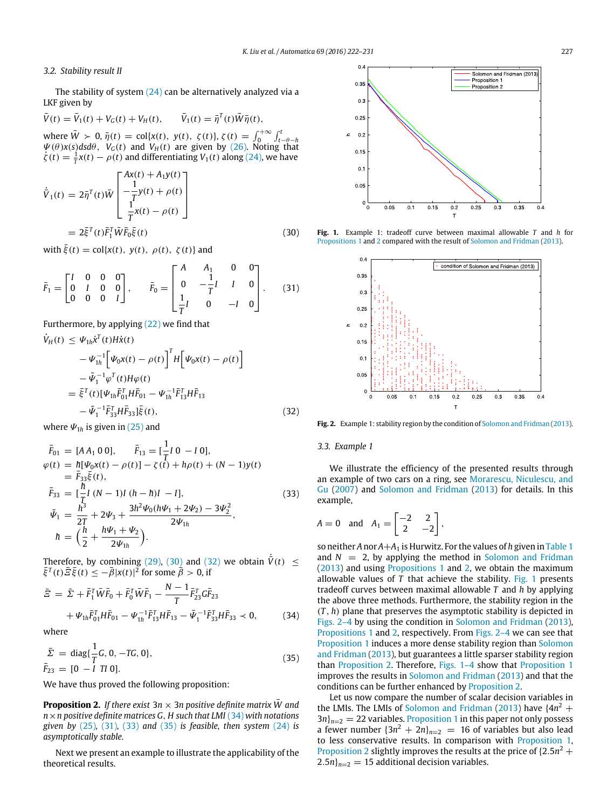## *3.2. Stability result II*

The stability of system  $(24)$  can be alternatively analyzed via a LKF given by

$$
\bar{V}(t) = \bar{V}_1(t) + V_G(t) + V_H(t), \qquad \bar{V}_1(t) = \bar{\eta}^T(t)\bar{W}\bar{\eta}(t),
$$
  
where  $\bar{W} > 0$ ,  $\bar{\eta}(t) = \text{col}\{x(t), y(t), \zeta(t)\}$ ,  $\zeta(t) = \int_0^{+\infty} \int_{t-\theta-h}^t \psi(\theta)x(s)dsd\theta$ ,  $V_G(t)$  and  $V_H(t)$  are given by (26). Noting that  $\zeta(t) = \frac{1}{T}x(t) - \rho(t)$  and differentiating  $V_1(t)$  along (24), we have

$$
\dot{\bar{V}}_1(t) = 2\bar{\eta}^T(t)\bar{W}\begin{bmatrix} Ax(t) + A_1y(t) \\ -\frac{1}{T}y(t) + \rho(t) \\ \frac{1}{T}x(t) - \rho(t) \end{bmatrix}
$$

$$
= 2\bar{\xi}^T(t)\bar{F}_1^T\bar{W}\bar{F}_0\bar{\xi}(t)
$$
(30)

with  $\bar{\xi}(t) = \text{col}\{x(t), y(t), \rho(t), \zeta(t)\}$  and

$$
\bar{F}_1 = \begin{bmatrix} I & 0 & 0 & 0 \\ 0 & I & 0 & 0 \\ 0 & 0 & 0 & I \end{bmatrix}, \quad \bar{F}_0 = \begin{bmatrix} A & A_1 & 0 & 0 \\ 0 & -\frac{1}{T}I & I & 0 \\ \frac{1}{T}I & 0 & -I & 0 \end{bmatrix}.
$$
 (31)

Furthermore, by applying [\(22\)](#page-3-10) we find that

$$
\dot{V}_{H}(t) \leq \Psi_{1h} \dot{x}^{T}(t) H \dot{x}(t) \n- \Psi_{1h}^{-1} \Big[ \Psi_{0} x(t) - \rho(t) \Big]^{T} H \Big[ \Psi_{0} x(t) - \rho(t) \Big] \n- \tilde{\Psi}_{1}^{-1} \varphi^{T}(t) H \varphi(t) \n= \bar{\xi}^{T}(t) [\Psi_{1h} \bar{F}_{01}^{T} H \bar{F}_{01} - \Psi_{1h}^{-1} \bar{F}_{13}^{T} H \bar{F}_{13} \n- \tilde{\Psi}_{1}^{-1} \bar{F}_{33}^{T} H \bar{F}_{33}] \bar{\xi}(t),
$$
\n(32)

where  $\Psi_{1h}$  is given in [\(25\)](#page-4-5) and

$$
\begin{aligned}\n\bar{F}_{01} &= [A A_1 \ 0 \ 0], & \bar{F}_{13} &= \left[\frac{1}{T} I \ 0 \ -I \ 0\right], \\
\varphi(t) &= \hbar [\Psi_0 x(t) - \rho(t)] - \zeta(t) + h\rho(t) + (N - 1)y(t) \\
&= \bar{F}_{33}\bar{\xi}(t), \\
\bar{F}_{33} &= \left[\frac{h}{T} I \ (N - 1)I \ (h - h)I \ -I\right], \\
\tilde{\Psi}_1 &= \frac{h^3}{2T} + 2\Psi_3 + \frac{3h^2\Psi_0(h\Psi_1 + 2\Psi_2) - 3\Psi_2^2}{2\Psi_{1h}}, \\
\hbar &= \left(\frac{h}{2} + \frac{h\Psi_1 + \Psi_2}{2\Psi_{1h}}\right).\n\end{aligned} \tag{33}
$$

Therefore, by combining [\(29\),](#page-4-7) [\(30\)](#page-5-0) and [\(32\)](#page-5-1) we obtain  $\dot{\bar{V}}(t) \leq$  $\bar{\xi}^T(t)\bar{\Xi}\bar{\xi}(t) \leq -\bar{\beta}|x(t)|^2$  for some  $\bar{\beta} > 0$ , if

$$
\bar{E} = \bar{\Sigma} + \bar{F}_1^T \bar{W} \bar{F}_0 + \bar{F}_0^T \bar{W} \bar{F}_1 - \frac{N-1}{T} \bar{F}_{23}^T G \bar{F}_{23} \n+ \Psi_{1h} \bar{F}_{01}^T H \bar{F}_{01} - \Psi_{1h}^{-1} \bar{F}_{13}^T H \bar{F}_{13} - \tilde{\Psi}_1^{-1} \bar{F}_{33}^T H \bar{F}_{33} \prec 0, \tag{34}
$$

where

$$
\begin{aligned}\n\bar{\Sigma} &= \text{diag}\{\frac{1}{T}G, 0, -TG, 0\}, \\
\bar{F}_{23} &= [0 \ -I \ TI \ 0].\n\end{aligned} \tag{35}
$$

We have thus proved the following proposition:

<span id="page-5-6"></span>**Proposition 2.** *If there exist*  $3n \times 3n$  positive definite matrix *W* and *n*×*n positive definite matrices G*, *H such that LMI* [\(34\)](#page-5-2) *with notations given by* [\(25\)](#page-4-5), [\(31\),](#page-5-3) [\(33\)](#page-5-4) and [\(35\)](#page-5-5) *is feasible, then system* [\(24\)](#page-4-2) *is asymptotically stable.*

Next we present an example to illustrate the applicability of the theoretical results.

<span id="page-5-7"></span>

<span id="page-5-3"></span><span id="page-5-0"></span>**Fig. 1.** Example 1: tradeoff curve between maximal allowable *T* and *h* for [Propositions 1](#page-4-8) and [2](#page-5-6) compared with the result of [Solomon](#page-8-14) [and](#page-8-14) [Fridman](#page-8-14) [\(2013\)](#page-8-14).

<span id="page-5-8"></span>

<span id="page-5-1"></span>**Fig. 2.** Example 1: stability region by the condition of [Solomon](#page-8-14) [and](#page-8-14) [Fridman](#page-8-14) [\(2013\)](#page-8-14).

#### <span id="page-5-4"></span>*3.3. Example 1*

We illustrate the efficiency of the presented results through an example of two cars on a ring, see [Morarescu,](#page-8-22) [Niculescu,](#page-8-22) [and](#page-8-22) [Gu](#page-8-22) [\(2007\)](#page-8-22) and [Solomon](#page-8-14) [and](#page-8-14) [Fridman](#page-8-14) [\(2013\)](#page-8-14) for details. In this example,

$$
A = 0 \quad \text{and} \quad A_1 = \begin{bmatrix} -2 & 2 \\ 2 & -2 \end{bmatrix},
$$

<span id="page-5-2"></span>so neither *A* nor  $A+A_1$  is Hurwitz. For the values of *h* given in [Table 1](#page-6-1) [and](#page-8-14)  $N = 2$ , by applying the method in [Solomon](#page-8-14) and [Fridman](#page-8-14) [\(2013\)](#page-8-14) and using [Propositions 1](#page-4-8) and [2,](#page-5-6) we obtain the maximum allowable values of *T* that achieve the stability. [Fig. 1](#page-5-7) presents tradeoff curves between maximal allowable *T* and *h* by applying the above three methods. Furthermore, the stability region in the (*T* , *h*) plane that preserves the asymptotic stability is depicted in [Figs. 2–4](#page-5-8) by using the condition in [Solomon](#page-8-14) [and](#page-8-14) [Fridman](#page-8-14) [\(2013\)](#page-8-14), [Propositions 1](#page-4-8) and [2,](#page-5-6) respectively. From [Figs. 2–4](#page-5-8) we can see that [Proposition 1](#page-4-8) induces a more dense stability region than [Solomon](#page-8-14) [and](#page-8-14) [Fridman](#page-8-14) [\(2013\)](#page-8-14), but guarantees a little sparser stability region than [Proposition 2.](#page-5-6) Therefore, [Figs. 1–4](#page-5-7) show that [Proposition 1](#page-4-8) improves the results in [Solomon](#page-8-14) [and](#page-8-14) [Fridman](#page-8-14) [\(2013\)](#page-8-14) and that the conditions can be further enhanced by [Proposition 2.](#page-5-6)

<span id="page-5-5"></span>Let us now compare the number of scalar decision variables in the LMIs. The LMIs of [Solomon](#page-8-14) [and](#page-8-14) [Fridman](#page-8-14) [\(2013\)](#page-8-14) have  $\{4n^2 +$  $3n_{n-2} = 22$  variables. [Proposition 1](#page-4-8) in this paper not only possess a fewer number  $\{3n^2 + 2n\}_{n=2}$  = 16 of variables but also lead to less conservative results. In comparison with [Proposition 1,](#page-4-8) [Proposition 2](#page-5-6) slightly improves the results at the price of  $\{2.5n^2 +$  $2.5n$ <sub> $n=2$ </sub> = 15 additional decision variables.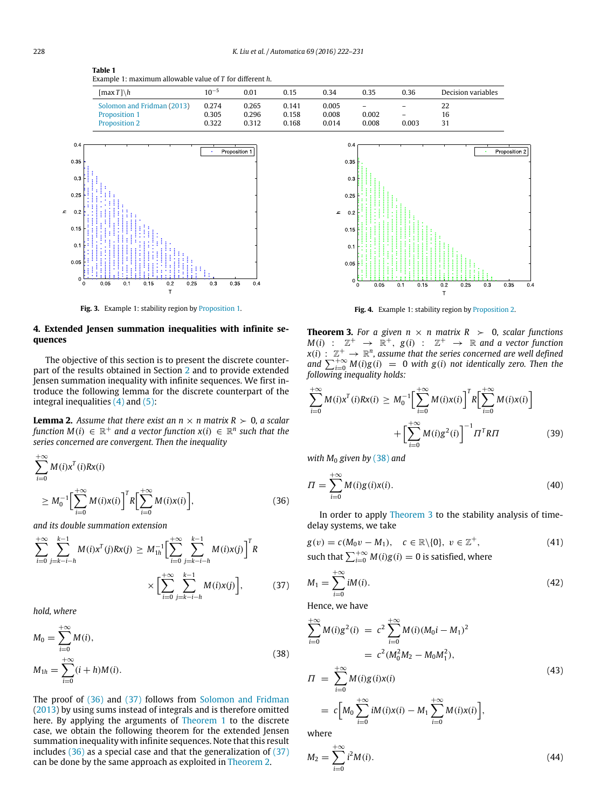<span id="page-6-1"></span>**Table 1** Example 1: maximum allowable value of *T* for different *h*.

| [max $T \setminus h$ ]     | $10^{-5}$ | 0.01  | 0.15  | 0.34  | 0.35              | 0.36                     | Decision variables |
|----------------------------|-----------|-------|-------|-------|-------------------|--------------------------|--------------------|
| Solomon and Fridman (2013) | 0.274     | 0.265 | 0.141 | 0.005 | $\qquad \qquad -$ | -                        | 22                 |
| Proposition 1              | 0.305     | 0.296 | 0.158 | 0.008 | 0.002             | $\overline{\phantom{0}}$ | 16                 |
| <b>Proposition 2</b>       | 0.322     | 0.312 | 0.168 | 0.014 | 0.008             | 0.003                    | 31                 |



**Fig. 3.** Example 1: stability region by [Proposition 1.](#page-4-8)

## <span id="page-6-0"></span>**4. Extended Jensen summation inequalities with infinite sequences**

The objective of this section is to present the discrete counterpart of the results obtained in Section [2](#page-1-4) and to provide extended Jensen summation inequality with infinite sequences. We first introduce the following lemma for the discrete counterpart of the integral inequalities  $(4)$  and  $(5)$ :

**Lemma 2.** Assume that there exist an  $n \times n$  matrix  $R \succ 0$ , a scalar  $f$ unction  $M(i) \in \mathbb{R}^+$  and a vector  $f$ unction  $x(i) \in \mathbb{R}^n$  such that the *series concerned are convergent. Then the inequality*

$$
\sum_{i=0}^{+\infty} M(i) x^{T}(i) R x(i)
$$
  
\n
$$
\geq M_0^{-1} \Big[ \sum_{i=0}^{+\infty} M(i) x(i) \Big]^{T} R \Big[ \sum_{i=0}^{+\infty} M(i) x(i) \Big],
$$
 (36)

*and its double summation extension*

$$
\sum_{i=0}^{+\infty} \sum_{j=k-i-h}^{k-1} M(i)x^{T}(j)Rx(j) \geq M_{1h}^{-1} \Big[ \sum_{i=0}^{+\infty} \sum_{j=k-i-h}^{k-1} M(i)x(j) \Big]^{T} R \times \Big[ \sum_{i=0}^{+\infty} \sum_{j=k-i-h}^{k-1} M(i)x(j) \Big],
$$
 (37)

*hold, where*

$$
M_0 = \sum_{i=0}^{+\infty} M(i),
$$
  
\n
$$
M_{1h} = \sum_{i=0}^{+\infty} (i+h)M(i).
$$
\n(38)

The proof of [\(36\)](#page-6-2) and [\(37\)](#page-6-3) follows from [Solomon](#page-8-14) [and](#page-8-14) [Fridman](#page-8-14) [\(2013\)](#page-8-14) by using sums instead of integrals and is therefore omitted here. By applying the arguments of [Theorem 1](#page-2-6) to the discrete case, we obtain the following theorem for the extended Jensen summation inequality with infinite sequences. Note that this result includes [\(36\)](#page-6-2) as a special case and that the generalization of [\(37\)](#page-6-3) can be done by the same approach as exploited in [Theorem 2.](#page-3-3)



<span id="page-6-5"></span>Fig. 4. Example 1: stability region by [Proposition 2.](#page-5-6)

**Theorem 3.** For a given  $n \times n$  matrix  $R > 0$ , scalar functions  $M(i)$  :  $\mathbb{Z}^+$   $\rightarrow$   $\mathbb{R}^+$ ,  $g(i)$  :  $\mathbb{Z}^+$   $\rightarrow$   $\mathbb{R}$  and a vector function  $x(i)$  :  $\mathbb{Z}^+$   $\rightarrow \mathbb{R}^n$ , assume that the series concerned are well defined *and*  $\sum_{i=0}^{+\infty} M(i)g(i) = 0$  *with*  $g(i)$  *not identically zero. Then the following inequality holds:*

$$
\sum_{i=0}^{+\infty} M(i)x^{T}(i)Rx(i) \geq M_{0}^{-1} \Big[ \sum_{i=0}^{+\infty} M(i)x(i) \Big]^{T} R \Big[ \sum_{i=0}^{+\infty} M(i)x(i) \Big] + \Big[ \sum_{i=0}^{+\infty} M(i)g^{2}(i) \Big]^{-1} \Pi^{T} R \Pi
$$
 (39)

*with M*<sup>0</sup> *given by* [\(38\)](#page-6-4) *and*

<span id="page-6-2"></span>
$$
\Pi = \sum_{i=0}^{+\infty} M(i)g(i)x(i). \tag{40}
$$

<span id="page-6-6"></span>In order to apply [Theorem 3](#page-6-5) to the stability analysis of timedelay systems, we take

$$
g(v) = c(M_0v - M_1), \quad c \in \mathbb{R} \setminus \{0\}, \ v \in \mathbb{Z}^+,
$$
  
such that 
$$
\sum_{i=0}^{+\infty} M(i)g(i) = 0
$$
 is satisfied, where

<span id="page-6-8"></span><span id="page-6-3"></span>
$$
M_1 = \sum_{i=0}^{+\infty} iM(i). \tag{42}
$$

Hence, we have

<span id="page-6-7"></span><span id="page-6-4"></span>
$$
\sum_{i=0}^{+\infty} M(i)g^{2}(i) = c^{2} \sum_{i=0}^{+\infty} M(i)(M_{0}i - M_{1})^{2}
$$
  
\n
$$
= c^{2}(M_{0}^{2}M_{2} - M_{0}M_{1}^{2}),
$$
  
\n
$$
\Pi = \sum_{i=0}^{+\infty} M(i)g(i)x(i)
$$
  
\n
$$
= c[M_{0} \sum_{i=0}^{+\infty} iM(i)x(i) - M_{1} \sum_{i=0}^{+\infty} M(i)x(i)],
$$
\n(43)

where

<span id="page-6-9"></span>
$$
M_2 = \sum_{i=0}^{+\infty} i^2 M(i). \tag{44}
$$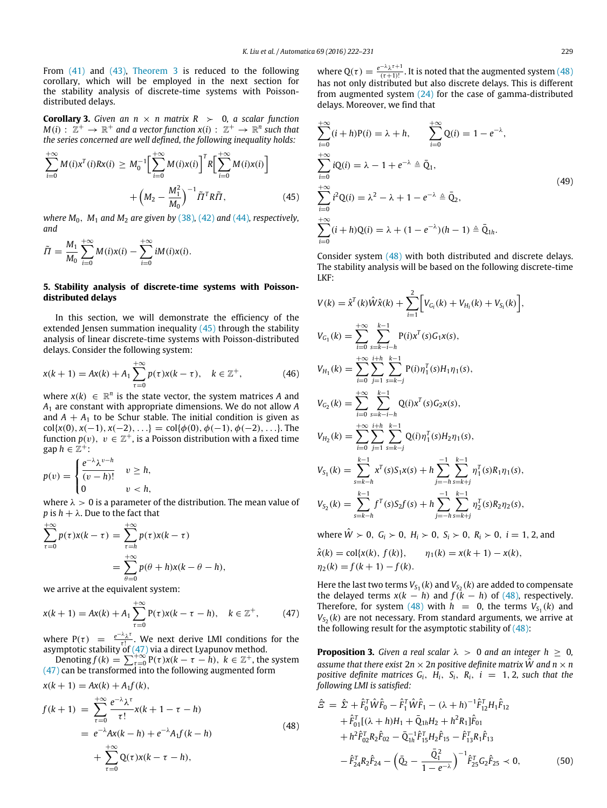From [\(41\)](#page-6-6) and [\(43\),](#page-6-7) [Theorem 3](#page-6-5) is reduced to the following corollary, which will be employed in the next section for the stability analysis of discrete-time systems with Poissondistributed delays.

**Corollary 3.** *Given an n*  $\times$  *n matrix R*  $>$  0*, a scalar function*  $M(i): \mathbb{Z}^+ \to \mathbb{R}^+$  and a vector function  $x(i): \mathbb{Z}^+ \to \mathbb{R}^n$  such that *the series concerned are well defined, the following inequality holds:*

$$
\sum_{i=0}^{+\infty} M(i)x^{T}(i)Rx(i) \geq M_{0}^{-1} \Big[ \sum_{i=0}^{+\infty} M(i)x(i) \Big]^{T} R \Big[ \sum_{i=0}^{+\infty} M(i)x(i) \Big] + \left( M_{2} - \frac{M_{1}^{2}}{M_{0}} \right)^{-1} \tilde{\Pi}^{T} R \tilde{\Pi}, \tag{45}
$$

*where*  $M_0$ ,  $M_1$  *and*  $M_2$  *are given by* [\(38\)](#page-6-4), [\(42\)](#page-6-8) *and* [\(44\)](#page-6-9)*, respectively, and*

$$
\tilde{\Pi} = \frac{M_1}{M_0} \sum_{i=0}^{+\infty} M(i)x(i) - \sum_{i=0}^{+\infty} iM(i)x(i).
$$

#### <span id="page-7-0"></span>**5. Stability analysis of discrete-time systems with Poissondistributed delays**

In this section, we will demonstrate the efficiency of the extended Jensen summation inequality  $(45)$  through the stability analysis of linear discrete-time systems with Poisson-distributed delays. Consider the following system:

$$
x(k+1) = Ax(k) + A_1 \sum_{\tau=0}^{+\infty} p(\tau)x(k-\tau), \quad k \in \mathbb{Z}^+, \tag{46}
$$

where  $x(k) \in \mathbb{R}^n$  is the state vector, the system matrices *A* and *A*<sup>1</sup> are constant with appropriate dimensions. We do not allow *A* and  $A + A_1$  to be Schur stable. The initial condition is given as col{ $x(0), x(-1), x(-2), ...$ } = col{ $\phi(0), \phi(-1), \phi(-2), ...$ }. The function  $p(v)$ ,  $v \in \mathbb{Z}^+$ , is a Poisson distribution with a fixed time  $gap h \in \mathbb{Z}^+$ :

$$
p(v) = \begin{cases} \frac{e^{-\lambda} \lambda^{v-h}}{(v-h)!} & v \ge h, \\ 0 & v < h, \end{cases}
$$

where  $\lambda > 0$  is a parameter of the distribution. The mean value of *p* is  $h + \lambda$ . Due to the fact that

$$
\sum_{\tau=0}^{+\infty} p(\tau)x(k-\tau) = \sum_{\tau=h}^{+\infty} p(\tau)x(k-\tau)
$$

$$
= \sum_{\theta=0}^{+\infty} p(\theta+h)x(k-\theta-h),
$$

we arrive at the equivalent system:

$$
x(k + 1) = Ax(k) + A_1 \sum_{\tau=0}^{+\infty} P(\tau)x(k - \tau - h), \quad k \in \mathbb{Z}^+, \tag{47}
$$

where  $P(\tau) = \frac{e^{-\lambda} \lambda^{\tau}}{\tau!}$  $\frac{d\lambda}{dt}$ . We next derive LMI conditions for the asymptotic stability of [\(47\)](#page-7-2) via a direct Lyapunov method.

Denoting  $f(k) = \sum_{\tau=0}^{+\infty} P(\tau) x(k - \tau - h)$ ,  $k \in \mathbb{Z}^+$ , the system  $(47)$  can be transformed into the following augmented form

$$
x(k+1) = Ax(k) + A_1f(k),
$$
  
\n
$$
f(k+1) = \sum_{\tau=0}^{+\infty} \frac{e^{-\lambda} \lambda^{\tau}}{\tau!} x(k+1-\tau-h)
$$
  
\n
$$
= e^{-\lambda} Ax(k-h) + e^{-\lambda} A_1f(k-h)
$$
  
\n
$$
+ \sum_{\tau=0}^{+\infty} Q(\tau)x(k-\tau-h),
$$
\n(48)

where  $Q(\tau) = \frac{e^{-\lambda} \lambda^{\tau+1}}{(\tau+1)!}$  $\frac{\lambda}{(\tau+1)!}$ . It is noted that the augmented system [\(48\)](#page-7-3) has not only distributed but also discrete delays. This is different from augmented system [\(24\)](#page-4-2) for the case of gamma-distributed delays. Moreover, we find that

<span id="page-7-4"></span><span id="page-7-1"></span>
$$
\sum_{i=0}^{+\infty} (i+h)P(i) = \lambda + h, \qquad \sum_{i=0}^{+\infty} Q(i) = 1 - e^{-\lambda},
$$
  
\n
$$
\sum_{i=0}^{+\infty} iQ(i) = \lambda - 1 + e^{-\lambda} \triangleq \overline{Q}_1,
$$
  
\n
$$
\sum_{i=0}^{+\infty} i^2Q(i) = \lambda^2 - \lambda + 1 - e^{-\lambda} \triangleq \overline{Q}_2,
$$
  
\n
$$
\sum_{i=0}^{+\infty} (i+h)Q(i) = \lambda + (1 - e^{-\lambda})(h - 1) \triangleq \overline{Q}_{1h}.
$$
  
\n(49)

Consider system [\(48\)](#page-7-3) with both distributed and discrete delays. The stability analysis will be based on the following discrete-time LKF:

<span id="page-7-7"></span>
$$
V(k) = \hat{x}^{T}(k)\hat{W}\hat{x}(k) + \sum_{i=1}^{2} \Big[ V_{G_{i}}(k) + V_{H_{i}}(k) + V_{S_{i}}(k) \Big],
$$
  
\n
$$
V_{G_{1}}(k) = \sum_{i=0}^{+\infty} \sum_{s=k-i-h}^{k-1} P(i)x^{T}(s)G_{1}x(s),
$$
  
\n
$$
V_{H_{1}}(k) = \sum_{i=0}^{+\infty} \sum_{j=1}^{i+h} \sum_{s=k-j}^{k-1} P(i)\eta_{1}^{T}(s)H_{1}\eta_{1}(s),
$$
  
\n
$$
V_{G_{2}}(k) = \sum_{i=0}^{+\infty} \sum_{s=k-i-h}^{k-1} Q(i)x^{T}(s)G_{2}x(s),
$$
  
\n
$$
V_{H_{2}}(k) = \sum_{i=0}^{+\infty} \sum_{j=1}^{i+h} \sum_{s=k-j}^{k-1} Q(i)\eta_{1}^{T}(s)H_{2}\eta_{1}(s),
$$
  
\n
$$
V_{S_{1}}(k) = \sum_{s=k-h}^{k-1} x^{T}(s)S_{1}x(s) + h \sum_{j=-h}^{-1} \sum_{s=k+j}^{k-1} \eta_{1}^{T}(s)R_{1}\eta_{1}(s),
$$
  
\n
$$
V_{S_{2}}(k) = \sum_{s=k-h}^{k-1} f^{T}(s)S_{2}f(s) + h \sum_{j=-h}^{-1} \sum_{s=k+j}^{k-1} \eta_{2}^{T}(s)R_{2}\eta_{2}(s),
$$

where  $\hat{W}$  ≻ 0,  $G_i$  ≻ 0,  $H_i$  ≻ 0,  $S_i$  ≻ 0,  $R_i$  ≻ 0,  $i = 1, 2$ , and

$$
\hat{x}(k) = \text{col}\{x(k), f(k)\}, \qquad \eta_1(k) = x(k+1) - x(k),
$$
  
\n
$$
\eta_2(k) = f(k+1) - f(k).
$$

<span id="page-7-2"></span>Here the last two terms  $V_{S_1}(k)$  and  $V_{S_2}(k)$  are added to compensate the delayed terms  $x(k - h)$  and  $f(k - h)$  of [\(48\),](#page-7-3) respectively. Therefore, for system [\(48\)](#page-7-3) with  $h = 0$ , the terms  $V_{S_1}(k)$  and  $V_{S_2}(k)$  are not necessary. From standard arguments, we arrive at the following result for the asymptotic stability of  $(48)$ :

<span id="page-7-5"></span>**Proposition 3.** *Given a real scalar*  $\lambda > 0$  *and an integer*  $h \ge 0$ *, assume that there exist*  $2n \times 2n$  positive definite matrix  $\hat{W}$  and  $n \times n$ *positive definite matrices*  $G_i$ ,  $H_i$ ,  $S_i$ ,  $R_i$ ,  $i = 1, 2$ , such that the *following LMI is satisfied:*

<span id="page-7-6"></span><span id="page-7-3"></span>
$$
\hat{E} = \hat{\Sigma} + \hat{F}_0^T \hat{W} \hat{F}_0 - \hat{F}_1^T \hat{W} \hat{F}_1 - (\lambda + h)^{-1} \hat{F}_{12}^T H_1 \hat{F}_{12} \n+ \hat{F}_{01}^T [(\lambda + h) H_1 + \bar{Q}_{1h} H_2 + h^2 R_1] \hat{F}_{01} \n+ h^2 \hat{F}_{02}^T R_2 \hat{F}_{02} - \bar{Q}_{1h}^{-1} \hat{F}_{15}^T H_2 \hat{F}_{15} - \hat{F}_{13}^T R_1 \hat{F}_{13} \n- \hat{F}_{24}^T R_2 \hat{F}_{24} - (\bar{Q}_2 - \frac{\bar{Q}_1^2}{1 - e^{-\lambda}})^{-1} \hat{F}_{25}^T G_2 \hat{F}_{25} < 0,
$$
\n(50)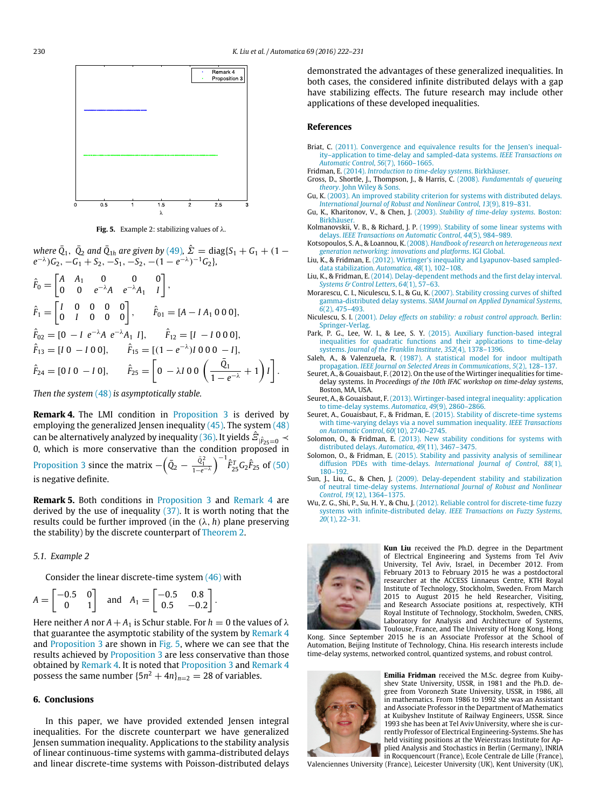.

<span id="page-8-24"></span>

**Fig. 5.** Example 2: stabilizing values of λ.

*where*  $\bar{Q}_1$ ,  $\bar{Q}_2$  *and*  $\bar{Q}_{1h}$  *are given by* [\(49\)](#page-7-4),  $\hat{\Sigma} = \text{diag}\{S_1 + G_1 + (1 - \hat{S}_1)S_2\}$  $e^{-\lambda}$ ) $G_2$ ,  $-G_1 + S_2$ ,  $-S_1$ ,  $-S_2$ ,  $-(1 - e^{-\lambda})^{-1}G_2$ *}*,

$$
\hat{F}_0 = \begin{bmatrix} A & A_1 & 0 & 0 & 0 \\ 0 & 0 & e^{-\lambda} A & e^{-\lambda} A_1 & I \end{bmatrix},
$$
\n
$$
\hat{F}_1 = \begin{bmatrix} I & 0 & 0 & 0 & 0 \\ 0 & I & 0 & 0 & 0 \end{bmatrix}, \qquad \hat{F}_{01} = [A - IA_1 \ 0 \ 0 \ 0],
$$
\n
$$
\hat{F}_{02} = [0 - I e^{-\lambda} A e^{-\lambda} A_1 I], \qquad \hat{F}_{12} = [I - I \ 0 \ 0 \ 0],
$$
\n
$$
\hat{F}_{13} = [I \ 0 - I \ 0 \ 0], \qquad \hat{F}_{15} = [(1 - e^{-\lambda})I \ 0 \ 0 \ 0 - I],
$$
\n
$$
\hat{F}_{24} = [0 \ I \ 0 \ - I \ 0], \qquad \hat{F}_{25} = \begin{bmatrix} 0 - \lambda I \ 0 \ 0 \end{bmatrix}, \qquad \hat{F}_{25} = \begin{bmatrix} 0 - \lambda I \ 0 \ 0 \end{bmatrix},
$$

*Then the system* [\(48\)](#page-7-3) *is asymptotically stable.*

<span id="page-8-23"></span>**Remark 4.** The LMI condition in [Proposition 3](#page-7-5) is derived by employing the generalized Jensen inequality  $(45)$ . The system  $(48)$ can be alternatively analyzed by inequality [\(36\).](#page-6-2) It yields  $\hat{\mathcal{Z}}_{|\hat{F}_{25}=0}\prec$ 0, which is more conservative than the condition proposed in [Proposition 3](#page-7-5) since the matrix  $-\left(\bar{Q}_2 - \frac{\bar{Q}_1^2}{1-e^{-\lambda}}\right)^{-1} \hat{F}_{25}^T G_2 \hat{F}_{25}$  of [\(50\)](#page-7-6) is negative definite.

**Remark 5.** Both conditions in [Proposition 3](#page-7-5) and [Remark 4](#page-8-23) are derived by the use of inequality [\(37\).](#page-6-3) It is worth noting that the results could be further improved (in the  $(\lambda, h)$  plane preserving the stability) by the discrete counterpart of [Theorem 2.](#page-3-3)

#### *5.1. Example 2*

Consider the linear discrete-time system [\(46\)](#page-7-7) with

$$
A = \begin{bmatrix} -0.5 & 0 \\ 0 & 1 \end{bmatrix} \text{ and } A_1 = \begin{bmatrix} -0.5 & 0.8 \\ 0.5 & -0.2 \end{bmatrix}.
$$

Here neither *A* nor  $A + A_1$  is Schur stable. For  $h = 0$  the values of  $\lambda$ that guarantee the asymptotic stability of the system by [Remark 4](#page-8-23) and [Proposition 3](#page-7-5) are shown in [Fig. 5,](#page-8-24) where we can see that the results achieved by [Proposition 3](#page-7-5) are less conservative than those obtained by [Remark 4.](#page-8-23) It is noted that [Proposition 3](#page-7-5) and [Remark 4](#page-8-23) possess the same number  $\{5n^2 + 4n\}_{n=2} = 28$  of variables.

#### <span id="page-8-20"></span>**6. Conclusions**

In this paper, we have provided extended Jensen integral inequalities. For the discrete counterpart we have generalized Jensen summation inequality. Applications to the stability analysis of linear continuous-time systems with gamma-distributed delays and linear discrete-time systems with Poisson-distributed delays demonstrated the advantages of these generalized inequalities. In both cases, the considered infinite distributed delays with a gap have stabilizing effects. The future research may include other applications of these developed inequalities.

#### **References**

- <span id="page-8-8"></span>Briat, C. [\(2011\). Convergence and equivalence results for the Jensen's inequal](http://refhub.elsevier.com/S0005-1098(16)30079-6/sbref1)ity–application to time-delay and sampled-data systems. *IEEE Transactions on Automatic Control*, *56*(7), 1660–1665.
- <span id="page-8-2"></span>Fridman, E. (2014). *[Introduction to time-delay systems](http://refhub.elsevier.com/S0005-1098(16)30079-6/sbref2)*. Birkhäuser.
- <span id="page-8-16"></span>Gross, [D., Shortle, J., Thompson, J., & Harris, C.](http://refhub.elsevier.com/S0005-1098(16)30079-6/sbref3) (2008). *Fundamentals of queueing theory*. John Wiley & Sons.
- <span id="page-8-6"></span>Gu, K. ([2003\). An improved stability criterion for systems with distributed delays.](http://refhub.elsevier.com/S0005-1098(16)30079-6/sbref4) *International Journal of Robust and Nonlinear Control*, *13*(9), 819–831.
- <span id="page-8-3"></span>Gu, K., Kharitonov, V., & Chen, J. (2003). *[Stability of time-delay systems](http://refhub.elsevier.com/S0005-1098(16)30079-6/sbref5)*. Boston: **Birkhäuse** Kolmanovskii, V. B., & Richard, J. P. [\(1999\). Stability of some linear systems with](http://refhub.elsevier.com/S0005-1098(16)30079-6/sbref6)
- <span id="page-8-5"></span>delays. *IEEE Transactions on Automatic Control*, *44*(5), 984–989.
- <span id="page-8-18"></span>Kotsopoulos, S. A., & Loannou, K. (2008). *Handbook of research on heterogeneous next gen[eration networking: innovations and platforms](http://refhub.elsevier.com/S0005-1098(16)30079-6/sbref7)*. IGI Global.
- <span id="page-8-9"></span>Liu, K., & Fridman, E. [\(2012\). Wirtinger's inequality and Lyapunov-based sampled](http://refhub.elsevier.com/S0005-1098(16)30079-6/sbref8)data stabilization. *Automatica*, *48*(1), 102–108.
- <span id="page-8-7"></span>Liu, K., & Fridman, E. [\(2014\). Delay-dependent methods and the first delay interval.](http://refhub.elsevier.com/S0005-1098(16)30079-6/sbref9) *Systems & Control Letters*, *64*(1), 57–63.
- <span id="page-8-22"></span>Morarescu, C. I., Niculescu, S. I., & Gu, K. (2007). Stability crossing curves of shifted gamma-distributed delay systems. *[SIAM Journal on Applied Dynamical Systems](http://refhub.elsevier.com/S0005-1098(16)30079-6/sbref10)*, *6*(2), 475–493.
- <span id="page-8-4"></span>Niculescu, S. I. (2001). *[Delay effects on stability: a robust control approach](http://refhub.elsevier.com/S0005-1098(16)30079-6/sbref11)*. Berlin: Springer-Verlag.
- <span id="page-8-13"></span>Park, P. G., Lee, W. I., & Lee, S. Y. (2015). Auxiliary function-based integral ine[qualities for quadratic functions and their applications to time-delay](http://refhub.elsevier.com/S0005-1098(16)30079-6/sbref12) systems. *Journal of the Franklin Institute*, *352*(4), 1378–1396.
- <span id="page-8-17"></span>Saleh, A., & Valenzuela, R. [\(1987\). A statistical model for indoor multipath](http://refhub.elsevier.com/S0005-1098(16)30079-6/sbref13) propagation. *IEEE Journal on Selected Areas in Communications*, *5*(2), 128–137.
- <span id="page-8-10"></span>Seuret, A., & Gouaisbaut, F. (2012). On the use of the Wirtinger inequalities for timedelay systems. In *Proceedings of the 10th IFAC workshop on time-delay systems*, Boston, MA, USA.
- <span id="page-8-11"></span>Seuret, A., & Gouaisbaut, F. [\(2013\). Wirtinger-based integral inequality: application](http://refhub.elsevier.com/S0005-1098(16)30079-6/sbref15) to time-delay systems. *Automatica*, *49*(9), 2860–2866.
- <span id="page-8-12"></span>Seuret, A., Gouaisbaut, F., & Fridman, E. (2015). Stability of discrete-time systems wit[h time-varying delays via a novel summation inequality.](http://refhub.elsevier.com/S0005-1098(16)30079-6/sbref16) *IEEE Transactions on Automatic Control*, *60*(10), 2740–2745.
- <span id="page-8-14"></span>Solomon, O., & Fridman, E. [\(2013\). New stability conditions for systems with](http://refhub.elsevier.com/S0005-1098(16)30079-6/sbref17) distributed delays. *Automatica*, *49*(11), 3467–3475.
- <span id="page-8-15"></span>Solomon, O., & Fridman, E. [\(2015\). Stability and passivity analysis of semilinear](http://refhub.elsevier.com/S0005-1098(16)30079-6/sbref18) diffusion PDEs with time-delays. *International Journal of Control*, *88*(1), 180–192.
- <span id="page-8-21"></span>Sun, J., Liu, G., & Chen, J. [\(2009\). Delay-dependent stability and stabilization](http://refhub.elsevier.com/S0005-1098(16)30079-6/sbref19) of neutral time-delay systems. *International Journal of Robust and Nonlinear Control*, *19*(12), 1364–1375.
- <span id="page-8-19"></span>Wu, Z. G., Shi, P., Su, H. Y., & Chu, J. [\(2012\). Reliable control for discrete-time fuzzy](http://refhub.elsevier.com/S0005-1098(16)30079-6/sbref20) systems with infinite-distributed delay. *IEEE Transactions on Fuzzy Systems*, *20*(1), 22–31.



<span id="page-8-0"></span>**Kun Liu** received the Ph.D. degree in the Department of Electrical Engineering and Systems from Tel Aviv University, Tel Aviv, Israel, in December 2012. From February 2013 to February 2015 he was a postdoctoral researcher at the ACCESS Linnaeus Centre, KTH Royal Institute of Technology, Stockholm, Sweden. From March 2015 to August 2015 he held Researcher, Visiting, and Research Associate positions at, respectively, KTH Royal Institute of Technology, Stockholm, Sweden, CNRS, Laboratory for Analysis and Architecture of Systems, Toulouse, France, and The University of Hong Kong, Hong

Kong. Since September 2015 he is an Associate Professor at the School of Automation, Beijing Institute of Technology, China. His research interests include time-delay systems, networked control, quantized systems, and robust control.



<span id="page-8-1"></span>**Emilia Fridman** received the M.Sc. degree from Kuibyshev State University, USSR, in 1981 and the Ph.D. degree from Voronezh State University, USSR, in 1986, all in mathematics. From 1986 to 1992 she was an Assistant and Associate Professor in the Department of Mathematics at Kuibyshev Institute of Railway Engineers, USSR. Since 1993 she has been at Tel Aviv University, where she is currently Professor of Electrical Engineering-Systems. She has held visiting positions at the Weierstrass Institute for Applied Analysis and Stochastics in Berlin (Germany), INRIA in Rocquencourt (France), Ecole Centrale de Lille (France),

Valenciennes University (France), Leicester University (UK), Kent University (UK),